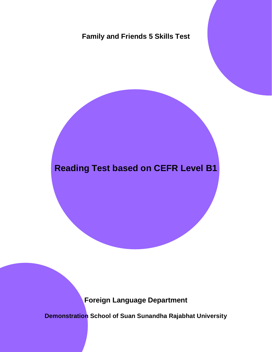## **Family and Friends 5 Skills Test**

## **Reading Test based on CEFR Level B1**

**Foreign Language Department** 

**Demonstration School of Suan Sunandha Rajabhat University**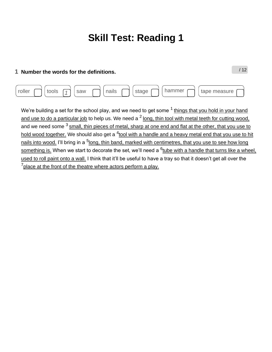/ 12

### **1 Number the words for the definitions.**

| , roller |  | saw | nails | stage | nammer | tape measure<br>$\sim$ |  |
|----------|--|-----|-------|-------|--------|------------------------|--|
|          |  |     |       |       |        |                        |  |

We're building a set for the school play, and we need to get some  $<sup>1</sup>$  things that you hold in your hand</sup> and use to do a particular job to help us. We need a  $2$  long, thin tool with metal teeth for cutting wood, and we need some  $3$  small, thin pieces of metal, sharp at one end and flat at the other, that you use to hold wood together. We should also get a <sup>4</sup>tool with a handle and a heavy metal end that you use to hit nails into wood. I'll bring in a <sup>5</sup>long, thin band, marked with centimetres, that you use to see how long <u>something is.</u> When we start to decorate the set, we'll need a <sup>6</sup>t<u>ube with a handle that turns like a wheel,</u> used to roll paint onto a wall. I think that it'll be useful to have a tray so that it doesn't get all over the  $7$  place at the front of the theatre where actors perform a play.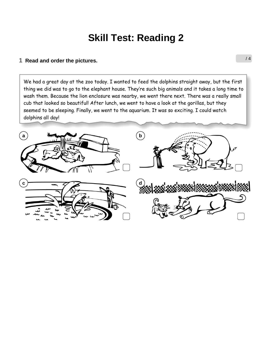### **1** Read and order the pictures.  $\frac{1}{4}$

We had a great day at the zoo today. I wanted to feed the dolphins straight away, but the first thing we did was to go to the elephant house. They're such big animals and it takes a long time to wash them. Because the lion enclosure was nearby, we went there next. There was a really small cub that looked so beautiful! After lunch, we went to have a look at the gorillas, but they seemed to be sleeping. Finally, we went to the aquarium. It was so exciting. I could watch dolphins all day!

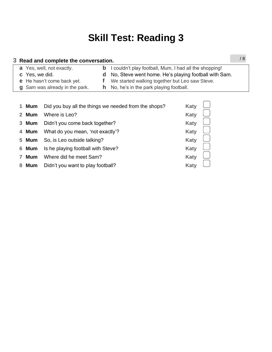| 3 Read and complete the conversation. |                                                                 |  |  |  |  |
|---------------------------------------|-----------------------------------------------------------------|--|--|--|--|
| a Yes, well, not exactly.             | <b>b</b> I couldn't play football, Mum, I had all the shopping! |  |  |  |  |
| c Yes, we did.                        | <b>d</b> No, Steve went home. He's playing football with Sam.   |  |  |  |  |
| <b>e</b> He hasn't come back yet.     | We started walking together but Leo saw Steve.                  |  |  |  |  |
| g Sam was already in the park.        | <b>h</b> No, he's in the park playing football.                 |  |  |  |  |
|                                       |                                                                 |  |  |  |  |
|                                       |                                                                 |  |  |  |  |

|              | 1 Mum | Did you buy all the things we needed from the shops? | <b>Katy</b> |  |
|--------------|-------|------------------------------------------------------|-------------|--|
|              | 2 Mum | Where is Leo?                                        | <b>Katy</b> |  |
|              | 3 Mum | Didn't you come back together?                       | <b>Katy</b> |  |
|              | 4 Mum | What do you mean, 'not exactly'?                     | <b>Katy</b> |  |
|              | 5 Mum | So, is Leo outside talking?                          | <b>Katy</b> |  |
|              | 6 Mum | Is he playing football with Steve?                   | <b>Katy</b> |  |
| $\mathbf{7}$ | Mum   | Where did he meet Sam?                               | <b>Katy</b> |  |
|              | 8 Mum | Didn't you want to play football?                    | <b>Katy</b> |  |
|              |       |                                                      |             |  |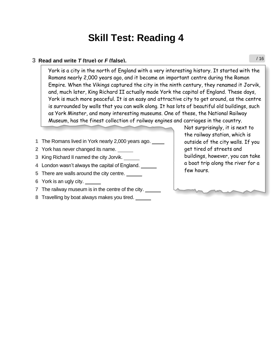#### **3 Read and write** *T* **(true) or** *F* **(false).**

**Y**ork is a city in the north of England with a very interesting history. It started with the Romans nearly 2,000 years ago, and it became an important centre during the Roman Empire. When the Vikings captured the city in the ninth century, they renamed it Jorvik, and, much later, King Richard II actually made York the capital of England. These days, York is much more peaceful. It is an easy and attractive city to get around, as the centre is surrounded by walls that you can walk along. It has lots of beautiful old buildings, such as York Minster, and many interesting museums. One of these, the National Railway Museum, has the finest collection of railway engines and carriages in the country.

- **1** The Romans lived in York nearly 2,000 years ago. *\_\_*
- **2** York has never changed its name. *\_\_\_\_\_*
- **3** King Richard II named the city Jorvik. *\_\_\_\_\_*
- **4** London wasn't always the capital of England. *\_\_\_\_\_*
- 4 London wash I always the capital of England. <u>\_\_\_\_\_\_</u><br>5 There are walls around the city centre. \_\_\_\_\_\_<sub>\_</sub>
- **6** York is an ugly city. *\_\_\_\_\_*
- **7** The railway museum is in the centre of the city. *\_\_\_\_\_*
- **8** Travelling by boat always makes you tired. *\_\_\_\_\_*

Not surprisingly, it is next to the railway station, which is outside of the city walls. If you get tired of streets and buildings, however, you can take a boat trip along the river for a few hours.